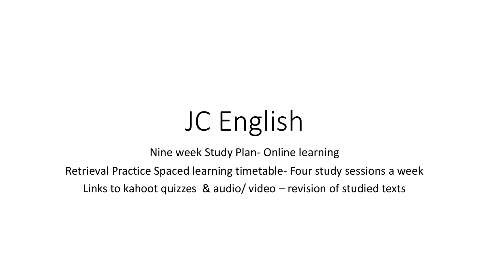# JC English

Nine week Study Plan- Online learning

Retrieval Practice Spaced learning timetable- Four study sessions a week

Links to kahoot quizzes & audio/ video – revision of studied texts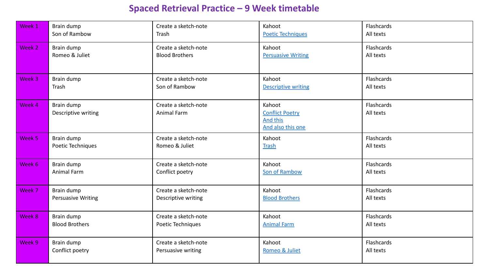## **Spaced Retrieval Practice – 9 Week timetab**

| Week 1 | Brain dump                        | Create a sketch-note                       | Kahoot                                                                   |
|--------|-----------------------------------|--------------------------------------------|--------------------------------------------------------------------------|
|        | Son of Rambow                     | Trash                                      | <b>Poetic Techniques</b>                                                 |
| Week 2 | Brain dump                        | Create a sketch-note                       | Kahoot                                                                   |
|        | Romeo & Juliet                    | <b>Blood Brothers</b>                      | <b>Persuasive Writing</b>                                                |
| Week 3 | Brain dump                        | Create a sketch-note                       | Kahoot                                                                   |
|        | Trash                             | Son of Rambow                              | <b>Descriptive writing</b>                                               |
| Week 4 | Brain dump<br>Descriptive writing | Create a sketch-note<br><b>Animal Farm</b> | Kahoot<br><b>Conflict Poetry</b><br><b>And this</b><br>And also this one |
| Week 5 | Brain dump                        | Create a sketch-note                       | Kahoot                                                                   |
|        | Poetic Techniques                 | Romeo & Juliet                             | <b>Trash</b>                                                             |
| Week 6 | Brain dump                        | Create a sketch-note                       | Kahoot                                                                   |
|        | Animal Farm                       | Conflict poetry                            | Son of Rambow                                                            |
| Week 7 | Brain dump                        | Create a sketch-note                       | Kahoot                                                                   |
|        | <b>Persuasive Writing</b>         | Descriptive writing                        | <b>Blood Brothers</b>                                                    |
| Week 8 | Brain dump                        | Create a sketch-note                       | Kahoot                                                                   |
|        | <b>Blood Brothers</b>             | Poetic Techniques                          | <b>Animal Farm</b>                                                       |
| Week 9 | Brain dump                        | Create a sketch-note                       | Kahoot                                                                   |
|        | Conflict poetry                   | Persuasive writing                         | Romeo & Juliet                                                           |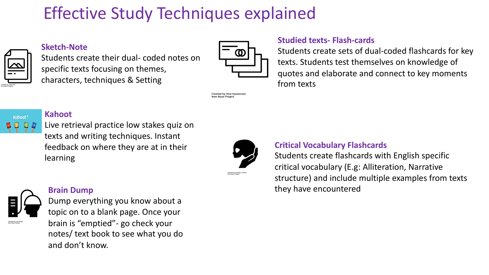# Effective Study Techniques explained



Kahoot!

#### **Sketch-Note**

Students create their dual- coded notes on specific texts focusing on themes, characters, techniques & Setting



Created by Viral faisalovers

**Studied texts- Flash-cards**

Students create sets of dual-coded flashcards for key texts. Students test themselves on knowledge of quotes and elaborate and connect to key moments from texts

## **Kahoot**

Live retrieval practice low stakes quiz on texts and writing techniques. Instant feedback on where they are at in their learning



### **Critical Vocabulary Flashcards**

Students create flashcards with English specific critical vocabulary (E.g: Alliteration, Narrative structure) and include multiple examples from texts they have encountered



#### **Brain Dump**

Dump everything you know about a topic on to a blank page. Once your brain is "emptied"- go check your notes/ text book to see what you do and don't know.